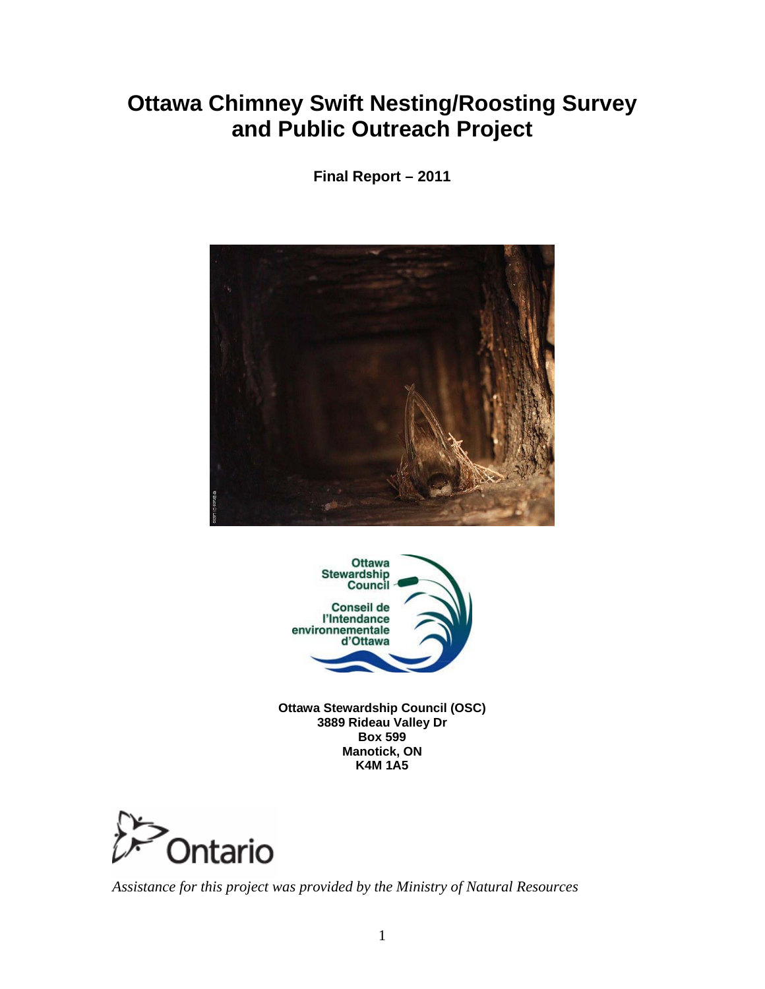# **Ottawa Chimney Swift Nesting/Roosting Survey and Public Outreach Project**

**Final Report – 2011** 





**Ottawa Stewardship Council (OSC) 3889 Rideau Valley Dr Box 599 Manotick, ON K4M 1A5** 



*Assistance for this project was provided by the Ministry of Natural Resources*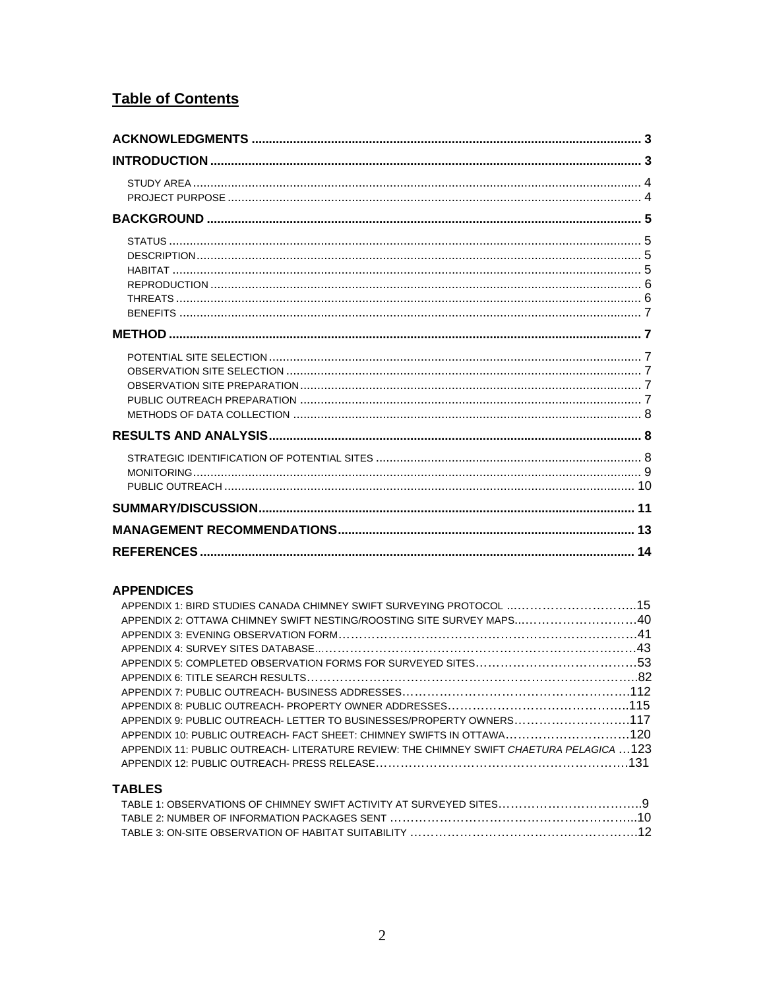### **Table of Contents**

#### **APPENDICES**

| APPENDIX 1: BIRD STUDIES CANADA CHIMNEY SWIFT SURVEYING PROTOCOL 15                       |  |
|-------------------------------------------------------------------------------------------|--|
| APPENDIX 2: OTTAWA CHIMNEY SWIFT NESTING/ROOSTING SITE SURVEY MAPS40                      |  |
|                                                                                           |  |
|                                                                                           |  |
|                                                                                           |  |
|                                                                                           |  |
|                                                                                           |  |
|                                                                                           |  |
| APPENDIX 9: PUBLIC OUTREACH-LETTER TO BUSINESSES/PROPERTY OWNERS117                       |  |
| APPENDIX 10: PUBLIC OUTREACH- FACT SHEET: CHIMNEY SWIFTS IN OTTAWA120                     |  |
| APPENDIX 11: PUBLIC OUTREACH- LITERATURE REVIEW: THE CHIMNEY SWIFT CHAETURA PELAGICA  123 |  |
|                                                                                           |  |
|                                                                                           |  |

#### **TABLES**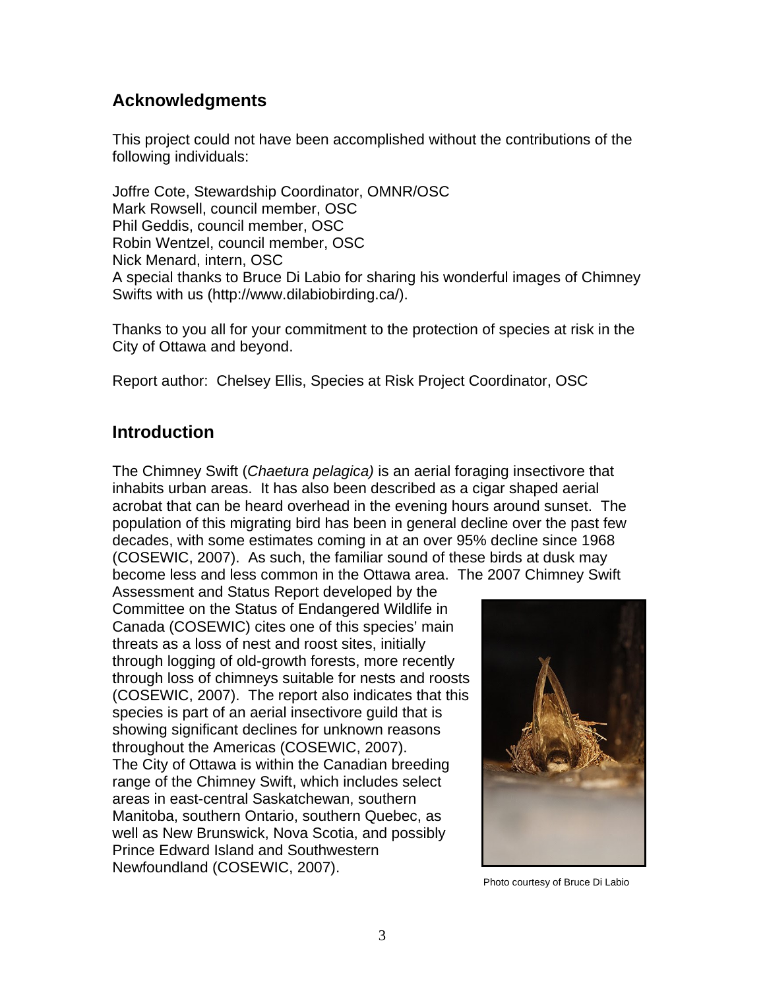# <span id="page-2-0"></span>**Acknowledgments**

This project could not have been accomplished without the contributions of the following individuals:

Joffre Cote, Stewardship Coordinator, OMNR/OSC Mark Rowsell, council member, OSC Phil Geddis, council member, OSC Robin Wentzel, council member, OSC Nick Menard, intern, OSC A special thanks to Bruce Di Labio for sharing his wonderful images of Chimney Swifts with us (http://www.dilabiobirding.ca/).

Thanks to you all for your commitment to the protection of species at risk in the City of Ottawa and beyond.

Report author: Chelsey Ellis, Species at Risk Project Coordinator, OSC

# **Introduction**

The Chimney Swift (*Chaetura pelagica)* is an aerial foraging insectivore that inhabits urban areas. It has also been described as a cigar shaped aerial acrobat that can be heard overhead in the evening hours around sunset. The population of this migrating bird has been in general decline over the past few decades, with some estimates coming in at an over 95% decline since 1968 (COSEWIC, 2007). As such, the familiar sound of these birds at dusk may become less and less common in the Ottawa area. The 2007 Chimney Swift

Assessment and Status Report developed by the Committee on the Status of Endangered Wildlife in Canada (COSEWIC) cites one of this species' main threats as a loss of nest and roost sites, initially through logging of old-growth forests, more recently through loss of chimneys suitable for nests and roosts (COSEWIC, 2007). The report also indicates that this species is part of an aerial insectivore guild that is showing significant declines for unknown reasons throughout the Americas (COSEWIC, 2007). The City of Ottawa is within the Canadian breeding range of the Chimney Swift, which includes select areas in east-central Saskatchewan, southern Manitoba, southern Ontario, southern Quebec, as well as New Brunswick, Nova Scotia, and possibly Prince Edward Island and Southwestern Newfoundland (COSEWIC, 2007).



Photo courtesy of Bruce Di Labio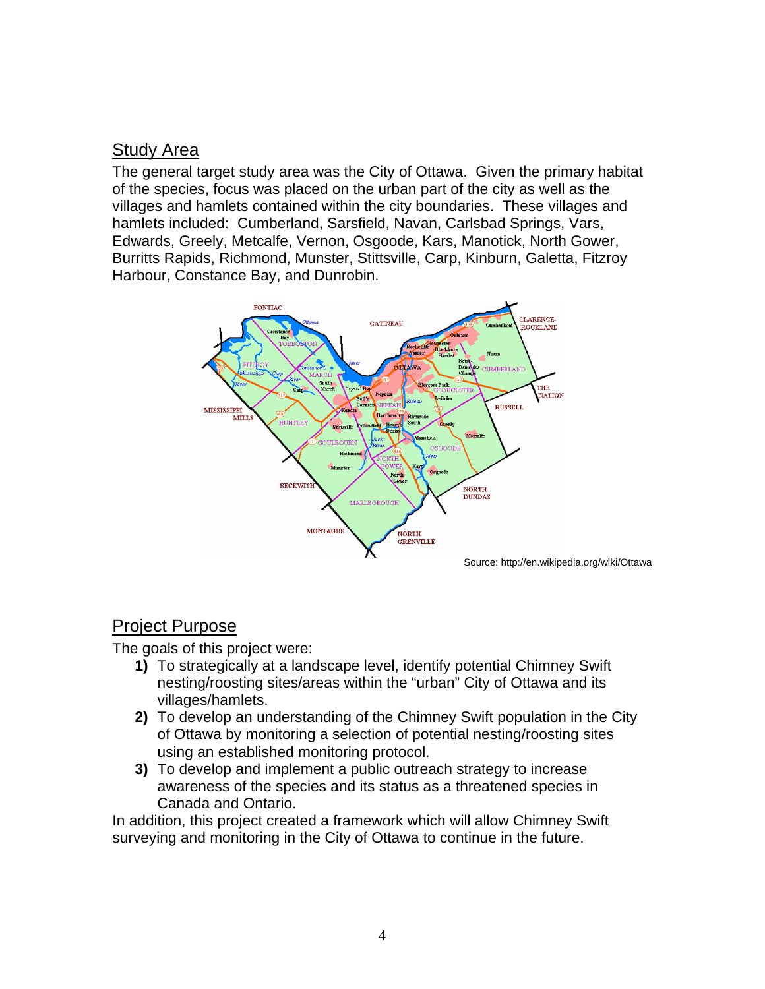# <span id="page-3-0"></span>Study Area

The general target study area was the City of Ottawa. Given the primary habitat of the species, focus was placed on the urban part of the city as well as the villages and hamlets contained within the city boundaries. These villages and hamlets included: Cumberland, Sarsfield, Navan, Carlsbad Springs, Vars, Edwards, Greely, Metcalfe, Vernon, Osgoode, Kars, Manotick, North Gower, Burritts Rapids, Richmond, Munster, Stittsville, Carp, Kinburn, Galetta, Fitzroy Harbour, Constance Bay, and Dunrobin.



#### Project Purpose

The goals of this project were:

- **1)** To strategically at a landscape level, identify potential Chimney Swift nesting/roosting sites/areas within the "urban" City of Ottawa and its villages/hamlets.
- **2)** To develop an understanding of the Chimney Swift population in the City of Ottawa by monitoring a selection of potential nesting/roosting sites using an established monitoring protocol.
- **3)** To develop and implement a public outreach strategy to increase awareness of the species and its status as a threatened species in Canada and Ontario.

In addition, this project created a framework which will allow Chimney Swift surveying and monitoring in the City of Ottawa to continue in the future.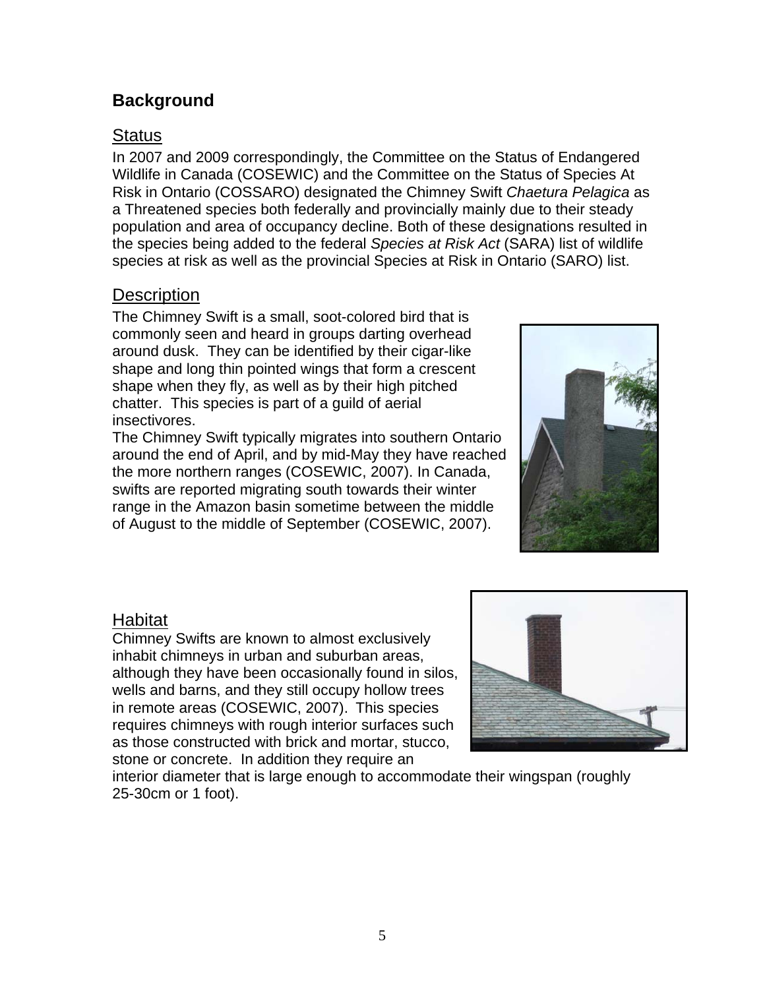# <span id="page-4-0"></span>**Background**

# **Status**

In 2007 and 2009 correspondingly, the Committee on the Status of Endangered Wildlife in Canada (COSEWIC) and the Committee on the Status of Species At Risk in Ontario (COSSARO) designated the Chimney Swift *Chaetura Pelagica* as a Threatened species both federally and provincially mainly due to their steady population and area of occupancy decline. Both of these designations resulted in the species being added to the federal *Species at Risk Act* (SARA) list of wildlife species at risk as well as the provincial Species at Risk in Ontario (SARO) list.

### **Description**

The Chimney Swift is a small, soot-colored bird that is commonly seen and heard in groups darting overhead around dusk. They can be identified by their cigar-like shape and long thin pointed wings that form a crescent shape when they fly, as well as by their high pitched chatter. This species is part of a guild of aerial insectivores.

The Chimney Swift typically migrates into southern Ontario around the end of April, and by mid-May they have reache d the more northern ranges (COSEWIC, 2007). In Canada , swifts are reported migrating south towards their winter range in the Amazon basin sometime between the middle of August to the middle of September (COSEWIC, 2007).



#### Habitat

Chimney Swifts are known to almost exclusively inhabit chimneys in urban and suburban areas, although they have been occasionally found in silos, wells and barns, and they still occupy hollow tree s in remote areas (COSEWIC, 2007). This species requires chimneys with rough interior surfaces such as those constructed with brick and mortar, stu cco, stone or concrete. In addition they require an



interior diameter that is large enough to accommodate their wingspan (roughly 25-30cm or 1 foot).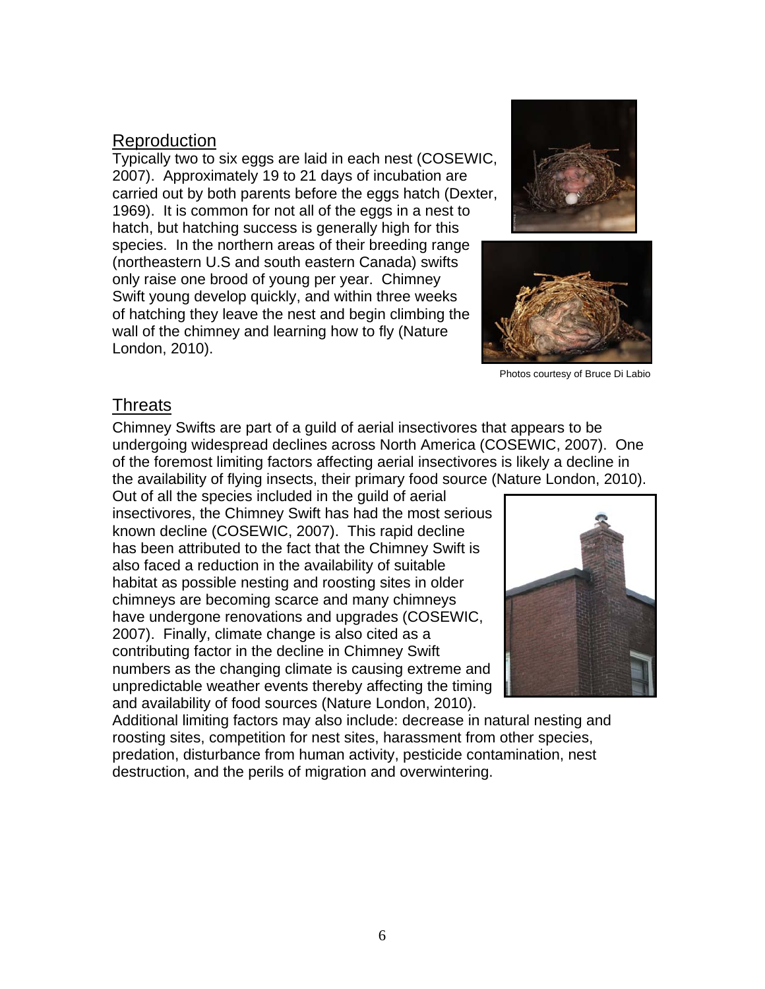### <span id="page-5-0"></span>Reproduction

Typically two to six eggs are laid in each nest (COSEWIC, 2007). Approximately 19 to 21 days of incubation are carried out by both parents before the eggs hatch (Dexter, 1969). It is common for not all of the eggs in a nest to hatch, but hatching success is generally high for this species. In the northern areas of their breeding range (northeastern U.S and south eastern Canada) swifts only raise one brood of young per year. Chimney Swift yo ung develop quickly, and within three weeks London, 2010). of hatching they leave the nest and begin climbing the wall of the chimney and learning how to fly (Nature





Photos courtesy of Bruce Di Labio

#### **Threats**

Chimney Swifts are part of a guild of aerial insectivores that appears to be undergoing widespread declines across North America (COSEWIC, 2007). One of the foremost limiting factors affecting aerial insec tivores is likely a decline in the availability of flying insects, their primary food source (N ature London, 2010).

Out of all the species included in the guild of aerial insectivores, the Chimney Swift has had the most serious known decline (COSEWIC, 2007). This rapid decline has been attributed to the fact that the Chimney Swift is also faced a reduction in the availability of suitable habitat as possible nesting and roosting sites in older chimneys are becoming scarce and many chimneys have undergone renovations and upgrades (COSEW IC, 2007). Finally, climate change is also cited as a contributing factor in the decline in Chimney Swift numbers as the changing climate is causing extreme and unpredictable weather events thereby affecting the timing and availability of food sources (Nature London, 2010).



Additional limiting factors may also include: decrease in natural nesting and roosting sites, competition for nest sites, harassment from other species, predation, disturbance from human activity, pesticide contamination, nest destruction, and the perils of migration and overwintering.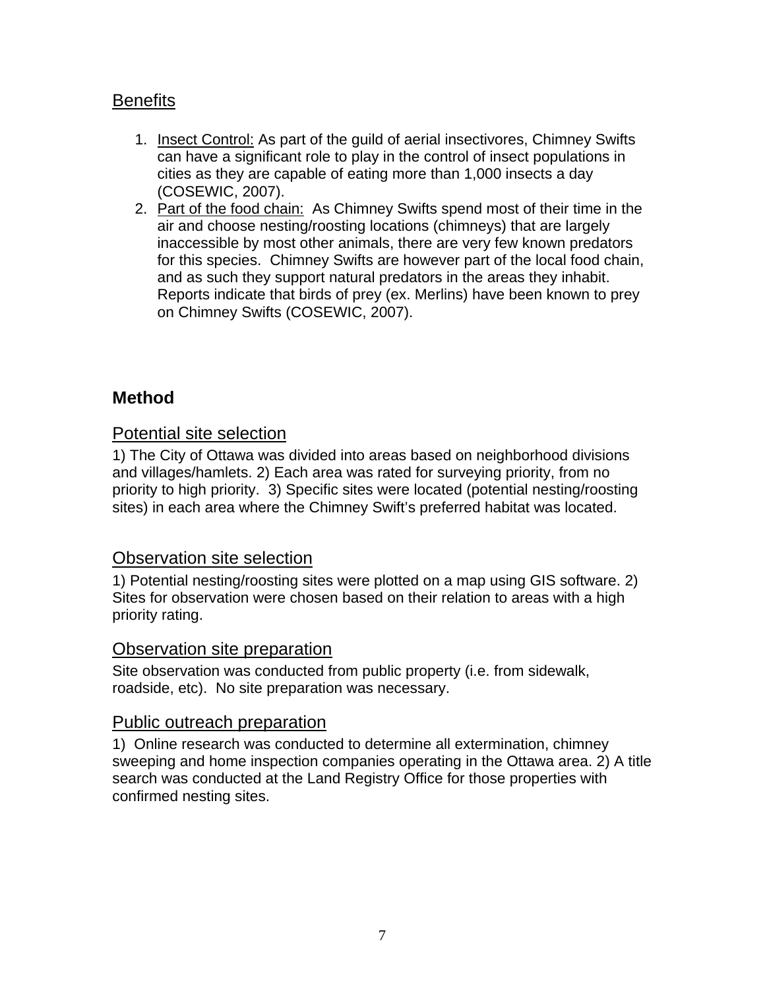# <span id="page-6-0"></span>**Benefits**

- 1. Insect Control: As part of the guild of aerial insectivores, Chimney Swifts can have a significant role to play in the control of insect populations in cities as they are capable of eating more than 1,000 insects a day (COSEWIC, 2007).
- 2. Part of the food chain: As Chimney Swifts spend most of their time in the air and choose nesting/roosting locations (chimneys) that are largely inaccessible by most other animals, there are very few known predators for this species. Chimney Swifts are however part of the local food chain, and as such they support natural predators in the areas they inhabit. Reports indicate that birds of prey (ex. Merlins) have been known to prey on Chimney Swifts (COSEWIC, 2007).

#### **Method**

#### Potential site selection

1) The City of Ottawa was divided into areas based on neighborhood divisions and villages/hamlets. 2) Each area was rated for surveying priority, from no priority to high priority. 3) Specific sites were located (potential nesting/roosting sites) in each area where the Chimney Swift's preferred habitat was located.

#### Observation site selection

1) Potential nesting/roosting sites were plotted on a map using GIS software. 2) Sites for observation were chosen based on their relation to areas with a high priority rating.

#### Observation site preparation

Site observation was conducted fr om public property (i.e. from sidewalk, roadside, etc). No site preparatio n was necessary.

#### Public outreach preparation

1) Online research was conducted to determine all extermination, chimney sweeping and home inspection companies operating in the Ottawa area. 2) A title search was conducted at the Land Registry Office for those properties with confirmed nesting sites.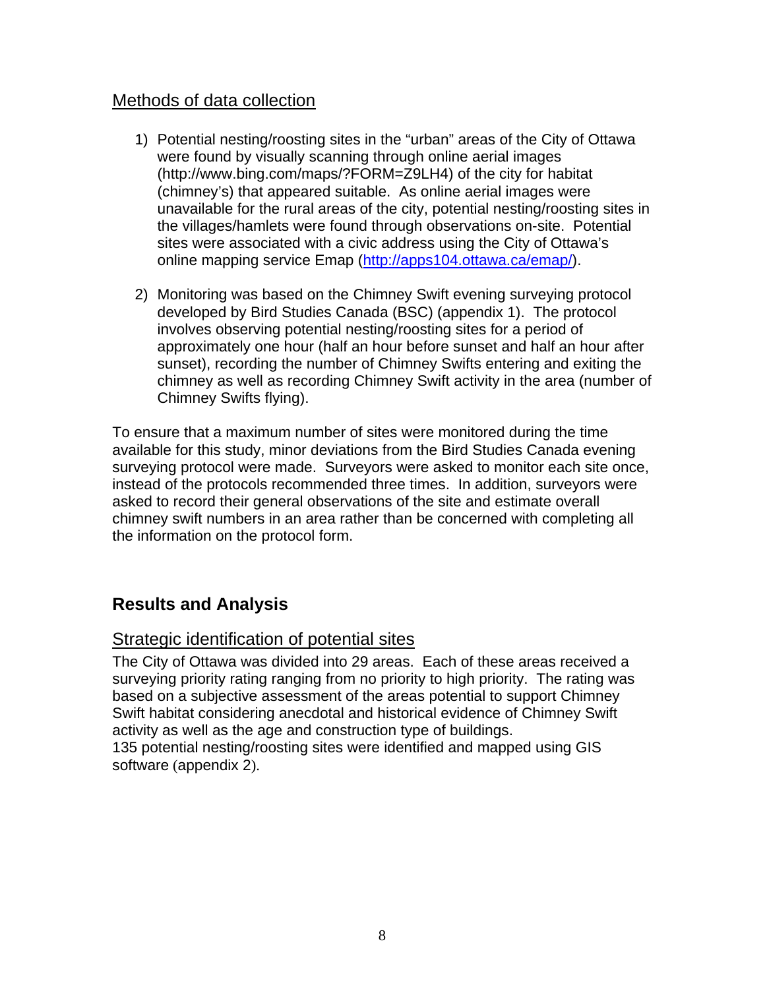### <span id="page-7-0"></span>Methods of data collection

- 1) Potential nesting/roosting sites in the "urban" areas of the City of O ttawa were found by visually scanning through online aerial images (http://www.bing.com/maps/?FORM=Z9LH4) of the city for habitat (chimney's) that appeared suitable. As online aerial images were unavailable for the rural areas of the city, potential nesting/roosting sit es in the villages/hamlets were found through observations on-site. Potential sites were associated with a civic address using the City of Ottawa's online mapping service Emap (http://apps104.ottawa.ca/emap/).
- 2) Monitoring was based on the Chimney Swift evening surveying protocol developed by Bird Studies Canada (BSC) (appendix 1). The protocol involves observing potential nesting/roosting sites for a period of approximately one hour (half an hour before sunset and half an hour after sunset), recording the number of Chimney Swifts entering and exiting the chimney as well as recording Chimney Swift activity in the area (number of Chimney Swifts flying).

surveying protocol were made. Surveyors were asked to monitor each site once, asked to record their general observations of the site and estimate overall himney swift numbers in an area rather than be concerned with completing all c the information on the protocol form. To ensure that a maximum number of sites were monitored during the time available for this study, minor deviations from the Bird Studies Canada evening instead of the protocols recommended three times. In addition, surveyors were

# **Results and Analysis**

#### Strategic identification of potential sites

The City of Ottawa was divided into 29 areas. Each of these areas received a surveying priority rating ranging from no priority to high priority. The rating was based on a subjective assessment of the areas potential to support Chimney Swift habitat considering anecdotal and historical evidence of Chimney Swift activity as well as the age and construction type of buildings.

35 potential nesting/roosting sites were identified and mapped using GIS 1 software (appendix 2).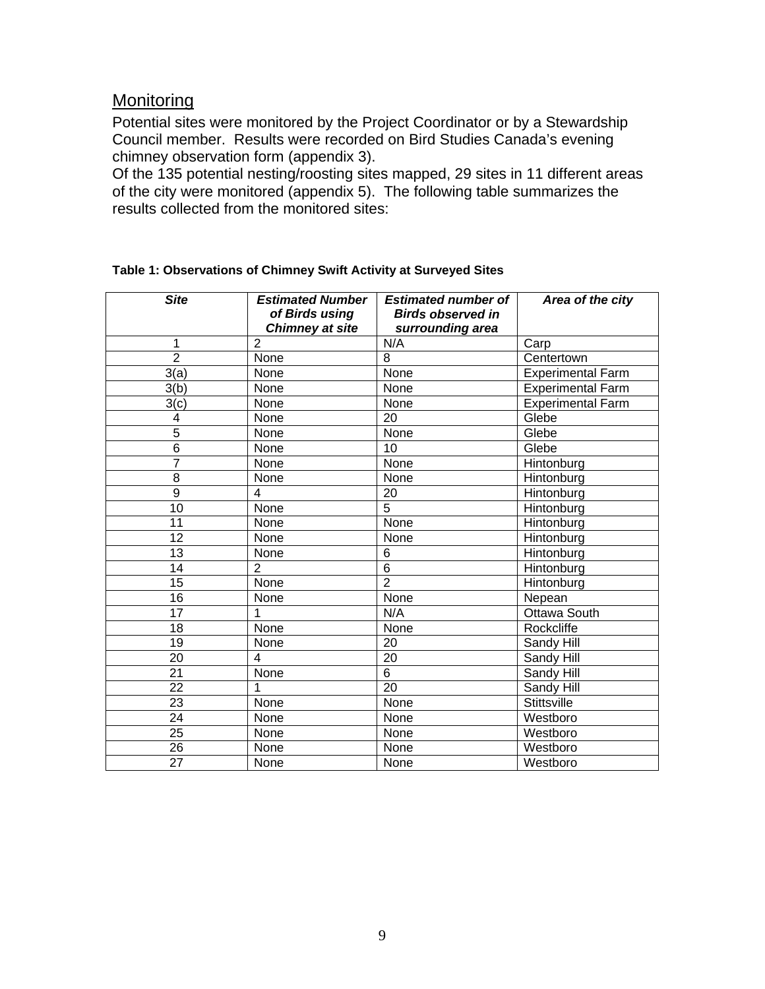# <span id="page-8-0"></span>**Monitoring**

Potential sites were monitored by the Project Coordinator or by a Stewardship Council member. Results were recorded on Bird Studies Canada's evening chimney observation form (appendix 3).

Of the 135 potential nesting/roosting sites mapped, 29 sites in 11 different areas of the city were monitored (appendix 5). The following table summarizes the results collected from the monitored sites:

| <b>Site</b>     | <b>Estimated Number</b><br>of Birds using<br><b>Chimney at site</b> | <b>Estimated number of</b><br><b>Birds observed in</b><br>surrounding area | Area of the city         |
|-----------------|---------------------------------------------------------------------|----------------------------------------------------------------------------|--------------------------|
| 1               | $\overline{2}$                                                      | N/A                                                                        | Carp                     |
| $\overline{2}$  | None                                                                | 8                                                                          | Centertown               |
| 3(a)            | None                                                                | None                                                                       | <b>Experimental Farm</b> |
| 3(b)            | None                                                                | None                                                                       | <b>Experimental Farm</b> |
| 3(c)            | None                                                                | None                                                                       | <b>Experimental Farm</b> |
| 4               | None                                                                | 20                                                                         | Glebe                    |
| $\overline{5}$  | None                                                                | None                                                                       | Glebe                    |
| $\overline{6}$  | None                                                                | 10                                                                         | Glebe                    |
| 7               | None                                                                | None                                                                       | Hintonburg               |
| 8               | None                                                                | None                                                                       | Hintonburg               |
| 9               | 4                                                                   | 20                                                                         | Hintonburg               |
| $\overline{10}$ | None                                                                | $\overline{5}$                                                             | Hintonburg               |
| 11              | None                                                                | None                                                                       | Hintonburg               |
| $\overline{12}$ | None                                                                | None                                                                       | Hintonburg               |
| 13              | None                                                                | 6                                                                          | Hintonburg               |
| 14              | $\overline{2}$                                                      | $\overline{6}$                                                             | Hintonburg               |
| $\overline{15}$ | None                                                                | $\overline{2}$                                                             | Hintonburg               |
| 16              | None                                                                | None                                                                       | Nepean                   |
| $\overline{17}$ |                                                                     | N/A                                                                        | Ottawa South             |
| 18              | None                                                                | None                                                                       | Rockcliffe               |
| $\overline{19}$ | None                                                                | 20                                                                         | Sandy Hill               |
| 20              | 4                                                                   | 20                                                                         | Sandy Hill               |
| $\overline{21}$ | None                                                                | $\overline{6}$                                                             | Sandy Hill               |
| $\overline{22}$ | 1                                                                   | 20                                                                         | Sandy Hill               |
| 23              | None                                                                | None                                                                       | <b>Stittsville</b>       |
| $\overline{24}$ | None                                                                | None                                                                       | Westboro                 |
| 25              | None                                                                | None                                                                       | Westboro                 |
| 26              | None                                                                | None                                                                       | Westboro                 |
| $\overline{27}$ | None                                                                | None                                                                       | Westboro                 |

#### **Table 1: Observations of Chimney Swift Activity at Surveyed Sites**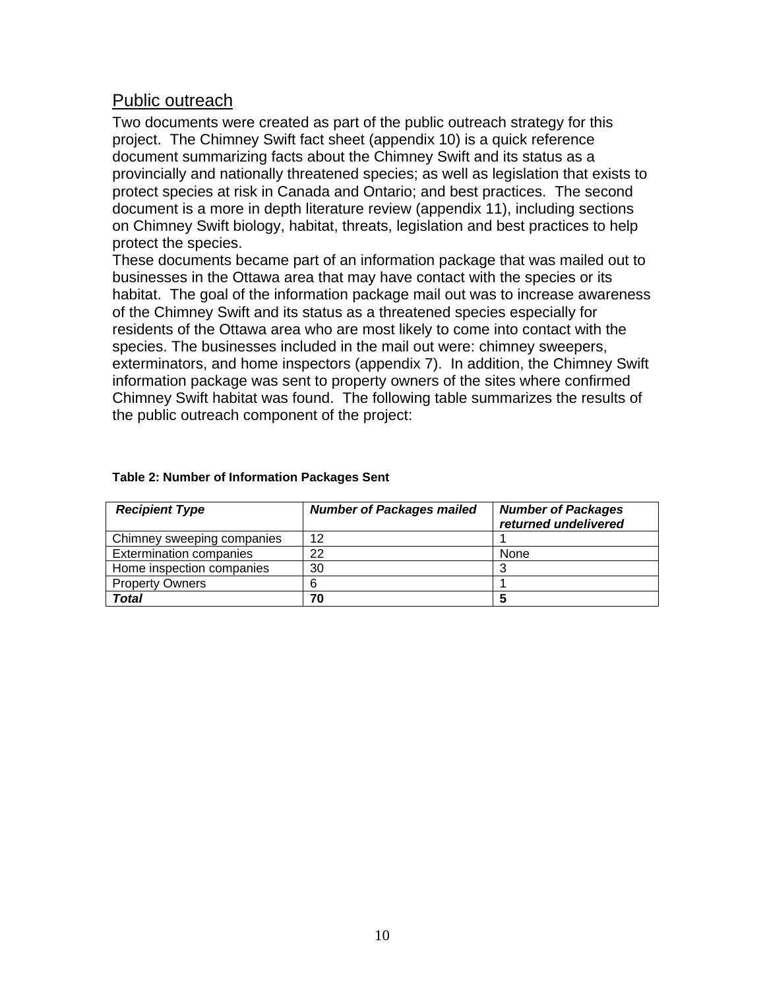#### <span id="page-9-0"></span>Public outreach

Two documents were created as part of the public outreach strategy for this project. The Chimney Swift fact sheet (appendix 10) is a quick reference document summarizing facts about the Chimney Swift and its status as a provincially and nationally threatened species; as well as legislation that exists to protect species at risk in Canada and Ontario; and best practices. The second document is a more in depth literature review (appendix 11), including sections on Chimney Swift biology, habitat, threats, legislation and best practices to help protect the species.

These documents became part of an information package that was mailed out to businesses in the Ottawa area that may have contact with the species or its habitat. The goal of the information package mail out was to increase awareness of the Chimney Swift and its status as a threaten ed species especially for re sidents of the Ottawa area who are most likely to come into contact with the species. The businesses included in the mail out were: chimney sweepers, exterminators, and home inspectors (appendix 7). In addition, the Chimney Swift information package was sent to property owners of the sites where confirmed Chimney Swift habitat was found. The following table summarizes the results of the public outreach component of the project:

| <b>Recipient Type</b>          | <b>Number of Packages mailed</b> | <b>Number of Packages</b><br>returned undelivered |
|--------------------------------|----------------------------------|---------------------------------------------------|
| Chimney sweeping companies     | 12                               |                                                   |
| <b>Extermination companies</b> | 22                               | None                                              |
| Home inspection companies      | 30                               |                                                   |
| <b>Property Owners</b>         |                                  |                                                   |
| Total                          | 70                               |                                                   |

#### **Table 2: Number of Information Packages Sent**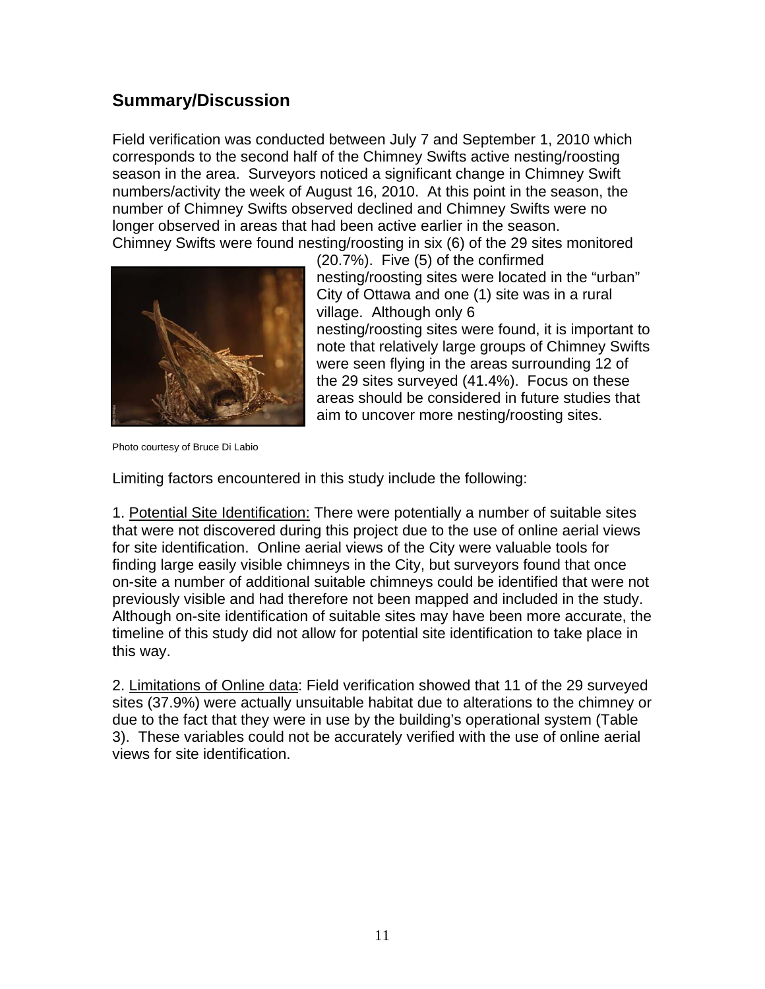# <span id="page-10-0"></span>**Summary/Discussion**

Field verification was conducted between July 7 and September 1, 2010 which corresponds to the second half of the Chimney Swifts active nesting/roosting season in the area. Surveyors noticed a significant change in Chimney Swift numbers/activity the week of August 16, 2010. At this point in the season, the number of Chimney Swifts obs erved declined and Chimney Swifts were no longer observed in areas that h ad been active earlier in the season. Chimney Swifts were found ne sting/roosting in six (6) of the 29 sites monitored



nesting/roosting sites were found, it is important to note that relatively large groups of Chimney Swifts were seen flying in the areas surrounding 12 of (20.7%). Five (5) of the confirmed nesting/roosting sites were located in the "urban" City of Ottawa and one (1) site was in a rural village. Although only 6 the 29 sites surveyed (41.4%). Focus on these areas should be considered in future studies that

Photo courtesy of Bruce Di Labio

Limiting factors encountered in this study include the following:

1. Potential Site Identification: There were potentially a number of suitable sites that were not discovered during this project due to the use of online aerial views for site identification. Online aerial views of the City were valuable tools for finding large easily visible chimneys in the City, but surveyors found that once on-site a number of additional suitable chimneys could be identified that were not previously visible and had therefore not been mapped and included in the study. Although on-site identification of suitable sites may have been more accurate, the timeline of this study did not allow for potential site identification to take place in this way.

2. Limitations of Online data: Field verification showed that 11 of the 29 surveyed sites (37.9%) were actually unsuitable habitat due to alterations to the chimney or due to the fact that they were in use by the building's operational system (Table ). These variables could not be accurately verified with the use of online aerial 3 views for site identification.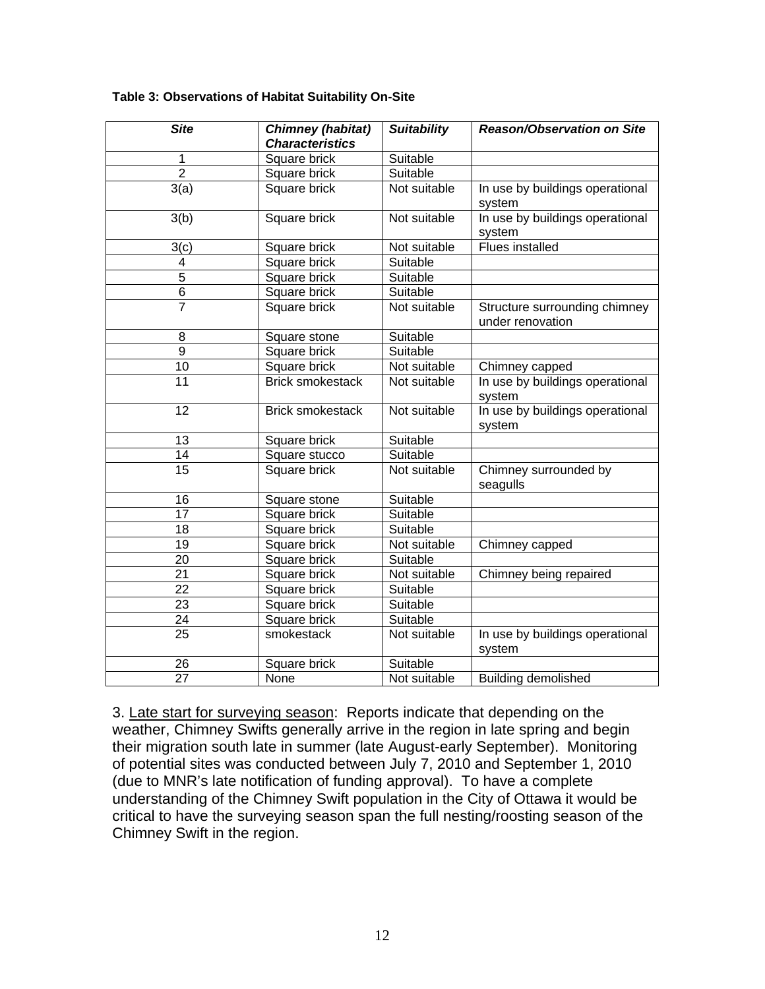| <b>Site</b>     | <b>Chimney (habitat)</b><br><b>Characteristics</b> | <b>Suitability</b> | <b>Reason/Observation on Site</b>                 |
|-----------------|----------------------------------------------------|--------------------|---------------------------------------------------|
| 1               | Square brick                                       | Suitable           |                                                   |
| $\overline{2}$  | Square brick                                       | Suitable           |                                                   |
| 3(a)            | Square brick                                       | Not suitable       | In use by buildings operational<br>system         |
| 3(b)            | Square brick                                       | Not suitable       | In use by buildings operational<br>system         |
| 3(c)            | Square brick                                       | Not suitable       | Flues installed                                   |
| 4               | Square brick                                       | Suitable           |                                                   |
| $\overline{5}$  | Square brick                                       | Suitable           |                                                   |
| 6               | Square brick                                       | Suitable           |                                                   |
| $\overline{7}$  | Square brick                                       | Not suitable       | Structure surrounding chimney<br>under renovation |
| 8               | Square stone                                       | Suitable           |                                                   |
| $\overline{9}$  | Square brick                                       | Suitable           |                                                   |
| 10              | Square brick                                       | Not suitable       | Chimney capped                                    |
| 11              | <b>Brick smokestack</b>                            | Not suitable       | In use by buildings operational<br>system         |
| 12              | <b>Brick smokestack</b>                            | Not suitable       | In use by buildings operational<br>system         |
| 13              | Square brick                                       | Suitable           |                                                   |
| 14              | Square stucco                                      | Suitable           |                                                   |
| $\overline{15}$ | Square brick                                       | Not suitable       | Chimney surrounded by<br>seagulls                 |
| 16              | Square stone                                       | Suitable           |                                                   |
| 17              | Square brick                                       | Suitable           |                                                   |
| 18              | Square brick                                       | Suitable           |                                                   |
| 19              | Square brick                                       | Not suitable       | Chimney capped                                    |
| 20              | Square brick                                       | Suitable           |                                                   |
| 21              | Square brick                                       | Not suitable       | Chimney being repaired                            |
| 22              | Square brick                                       | Suitable           |                                                   |
| 23              | Square brick                                       | Suitable           |                                                   |
| 24              | Square brick                                       | Suitable           |                                                   |
| 25              | smokestack                                         | Not suitable       | In use by buildings operational<br>system         |
| 26              | Square brick                                       | Suitable           |                                                   |
| $\overline{27}$ | None                                               | Not suitable       | Building demolished                               |

#### **Table 3: Observations of Habitat Suitability On-Site**

3. Late start for surveying season: Reports indicate that depending on the weather, Chimney Swifts generally arrive in the region in late spring and begin their migration south late in summer (late August-early September). Monitoring of potential sites was conducted between July 7, 2010 and September 1, 2010 (due to MNR's late notification of funding approval). To have a complete understanding of the Chimney Swift population in the City of Ottawa it would be ritical to have the surveying season span the full nesting/roosting season of the c Chimney Swift in the region.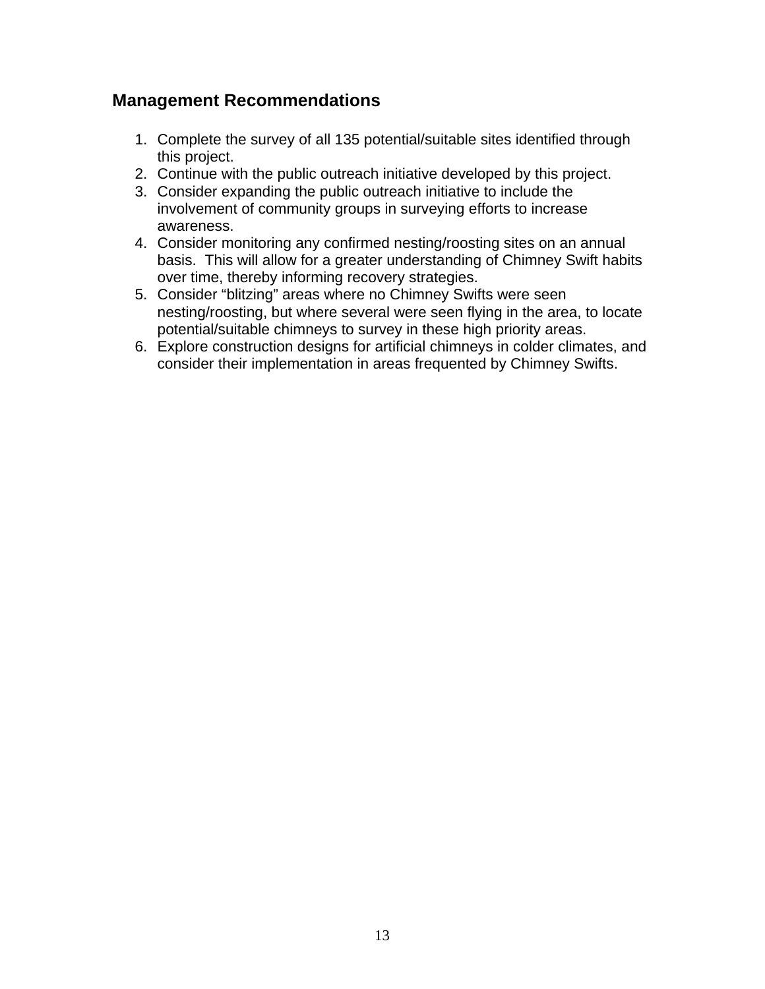### <span id="page-12-0"></span>**Management Recommendations**

- 1. Complete the survey of all 135 potential/suitable sites identified through this project.
- 2. Continue with the public outreach initiative developed by this project.
- 3. Consider expanding the public outreach initiative to include the involvement of community groups in surveying efforts to increase awareness.
- 4. Consider monitoring any confirmed nesting/roosting sites on an annual basis. This will allow for a greater understanding of Chimney Swift habits over time, thereby informing recovery strategies.
- 5. Consider "blitzing" areas where no Chimney Swifts were seen nesting/roosting, but where several were seen flying in the area, to locate potential/suitable chimneys to survey in these high priority areas.
- 6. Explore construction designs for artificial chimneys in colder climates, and consider their implementation in areas frequented by Chimney Swifts.